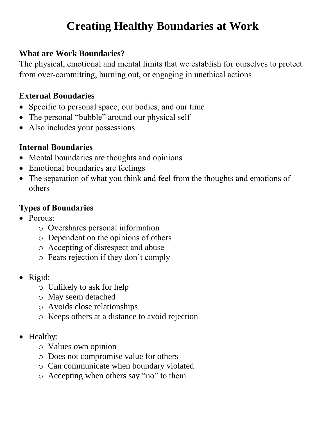# **Creating Healthy Boundaries at Work**

#### **What are Work Boundaries?**

The physical, emotional and mental limits that we establish for ourselves to protect from over-committing, burning out, or engaging in unethical actions

## **External Boundaries**

- Specific to personal space, our bodies, and our time
- The personal "bubble" around our physical self
- Also includes your possessions

## **Internal Boundaries**

- Mental boundaries are thoughts and opinions
- Emotional boundaries are feelings
- The separation of what you think and feel from the thoughts and emotions of others

## **Types of Boundaries**

- Porous:
	- o Overshares personal information
	- o Dependent on the opinions of others
	- o Accepting of disrespect and abuse
	- o Fears rejection if they don't comply
- Rigid:
	- o Unlikely to ask for help
	- o May seem detached
	- o Avoids close relationships
	- o Keeps others at a distance to avoid rejection
- Healthy:
	- o Values own opinion
	- o Does not compromise value for others
	- o Can communicate when boundary violated
	- o Accepting when others say "no" to them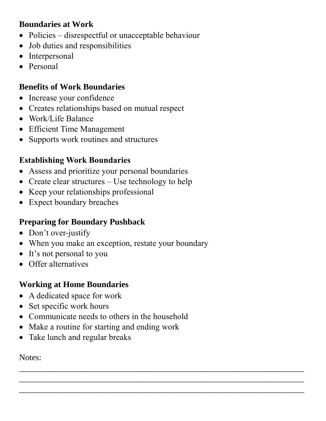#### **Boundaries at Work**

- Policies disrespectful or unacceptable behaviour
- Job duties and responsibilities
- Interpersonal
- Personal

## **Benefits of Work Boundaries**

- Increase your confidence
- Creates relationships based on mutual respect
- Work/Life Balance
- Efficient Time Management
- Supports work routines and structures

# **Establishing Work Boundaries**

- Assess and prioritize your personal boundaries
- Create clear structures Use technology to help
- Keep your relationships professional
- Expect boundary breaches

# **Preparing for Boundary Pushback**

- Don't over-justify
- When you make an exception, restate your boundary
- It's not personal to you
- **•** Offer alternatives

# **Working at Home Boundaries**

- A dedicated space for work
- Set specific work hours
- Communicate needs to others in the household

 $\overline{\phantom{a}}$  , and the contract of the contract of the contract of the contract of the contract of the contract of the contract of the contract of the contract of the contract of the contract of the contract of the contrac  $\overline{\phantom{a}}$  , and the contract of the contract of the contract of the contract of the contract of the contract of the contract of the contract of the contract of the contract of the contract of the contract of the contrac  $\overline{\phantom{a}}$  , and the contract of the contract of the contract of the contract of the contract of the contract of the contract of the contract of the contract of the contract of the contract of the contract of the contrac

- Make a routine for starting and ending work
- Take lunch and regular breaks

Notes: